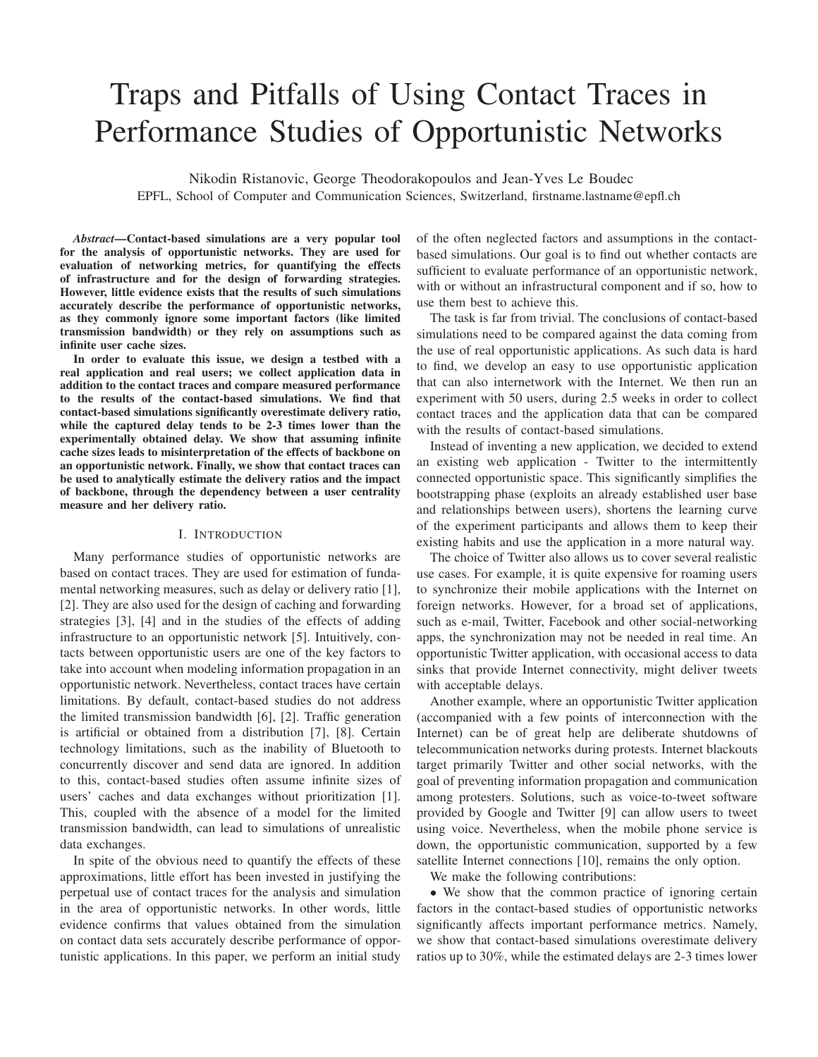# Traps and Pitfalls of Using Contact Traces in Performance Studies of Opportunistic Networks

Nikodin Ristanovic, George Theodorakopoulos and Jean-Yves Le Boudec EPFL, School of Computer and Communication Sciences, Switzerland, firstname.lastname@epfl.ch

*Abstract***—Contact-based simulations are a very popular tool for the analysis of opportunistic networks. They are used for evaluation of networking metrics, for quantifying the effects of infrastructure and for the design of forwarding strategies. However, little evidence exists that the results of such simulations accurately describe the performance of opportunistic networks, as they commonly ignore some important factors (like limited transmission bandwidth) or they rely on assumptions such as infinite user cache sizes.**

**In order to evaluate this issue, we design a testbed with a real application and real users; we collect application data in addition to the contact traces and compare measured performance to the results of the contact-based simulations. We find that contact-based simulations significantly overestimate delivery ratio, while the captured delay tends to be 2-3 times lower than the experimentally obtained delay. We show that assuming infinite cache sizes leads to misinterpretation of the effects of backbone on an opportunistic network. Finally, we show that contact traces can be used to analytically estimate the delivery ratios and the impact of backbone, through the dependency between a user centrality measure and her delivery ratio.**

## I. INTRODUCTION

Many performance studies of opportunistic networks are based on contact traces. They are used for estimation of fundamental networking measures, such as delay or delivery ratio [1], [2]. They are also used for the design of caching and forwarding strategies [3], [4] and in the studies of the effects of adding infrastructure to an opportunistic network [5]. Intuitively, contacts between opportunistic users are one of the key factors to take into account when modeling information propagation in an opportunistic network. Nevertheless, contact traces have certain limitations. By default, contact-based studies do not address the limited transmission bandwidth [6], [2]. Traffic generation is artificial or obtained from a distribution [7], [8]. Certain technology limitations, such as the inability of Bluetooth to concurrently discover and send data are ignored. In addition to this, contact-based studies often assume infinite sizes of users' caches and data exchanges without prioritization [1]. This, coupled with the absence of a model for the limited transmission bandwidth, can lead to simulations of unrealistic data exchanges.

In spite of the obvious need to quantify the effects of these approximations, little effort has been invested in justifying the perpetual use of contact traces for the analysis and simulation in the area of opportunistic networks. In other words, little evidence confirms that values obtained from the simulation on contact data sets accurately describe performance of opportunistic applications. In this paper, we perform an initial study

of the often neglected factors and assumptions in the contactbased simulations. Our goal is to find out whether contacts are sufficient to evaluate performance of an opportunistic network, with or without an infrastructural component and if so, how to use them best to achieve this.

The task is far from trivial. The conclusions of contact-based simulations need to be compared against the data coming from the use of real opportunistic applications. As such data is hard to find, we develop an easy to use opportunistic application that can also internetwork with the Internet. We then run an experiment with 50 users, during 2.5 weeks in order to collect contact traces and the application data that can be compared with the results of contact-based simulations.

Instead of inventing a new application, we decided to extend an existing web application - Twitter to the intermittently connected opportunistic space. This significantly simplifies the bootstrapping phase (exploits an already established user base and relationships between users), shortens the learning curve of the experiment participants and allows them to keep their existing habits and use the application in a more natural way.

The choice of Twitter also allows us to cover several realistic use cases. For example, it is quite expensive for roaming users to synchronize their mobile applications with the Internet on foreign networks. However, for a broad set of applications, such as e-mail, Twitter, Facebook and other social-networking apps, the synchronization may not be needed in real time. An opportunistic Twitter application, with occasional access to data sinks that provide Internet connectivity, might deliver tweets with acceptable delays.

Another example, where an opportunistic Twitter application (accompanied with a few points of interconnection with the Internet) can be of great help are deliberate shutdowns of telecommunication networks during protests. Internet blackouts target primarily Twitter and other social networks, with the goal of preventing information propagation and communication among protesters. Solutions, such as voice-to-tweet software provided by Google and Twitter [9] can allow users to tweet using voice. Nevertheless, when the mobile phone service is down, the opportunistic communication, supported by a few satellite Internet connections [10], remains the only option.

We make the following contributions:

• We show that the common practice of ignoring certain factors in the contact-based studies of opportunistic networks significantly affects important performance metrics. Namely, we show that contact-based simulations overestimate delivery ratios up to 30%, while the estimated delays are 2-3 times lower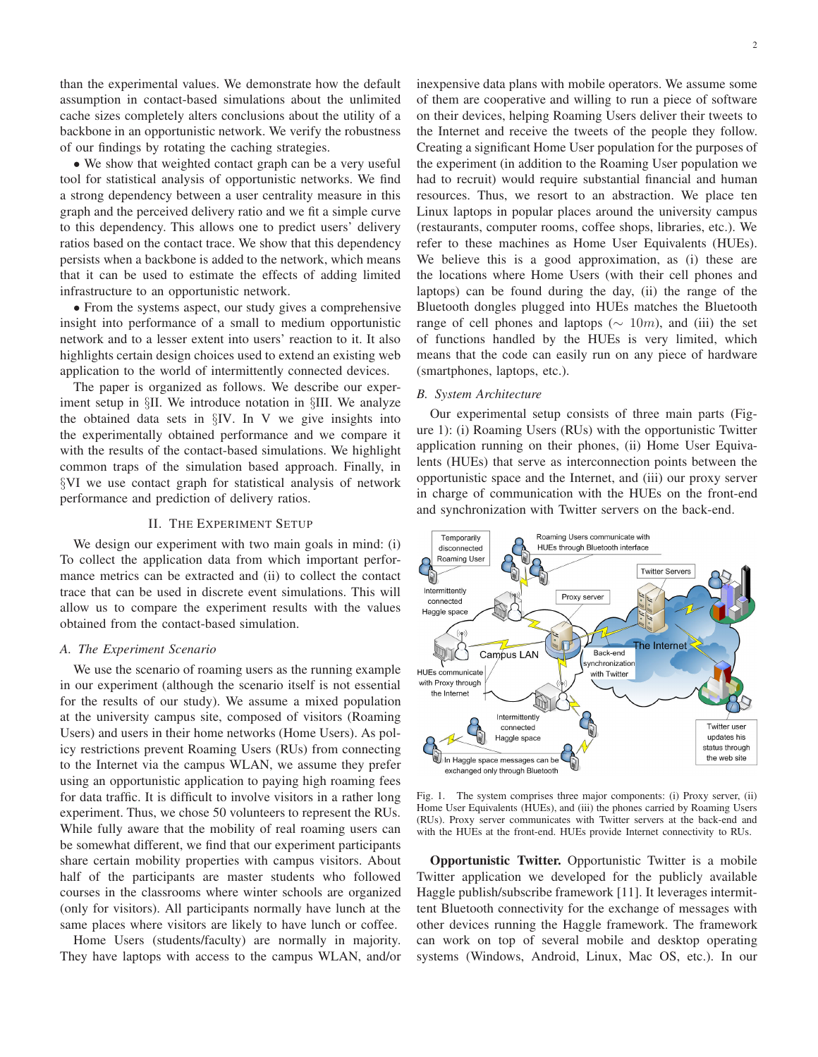than the experimental values. We demonstrate how the default assumption in contact-based simulations about the unlimited cache sizes completely alters conclusions about the utility of a backbone in an opportunistic network. We verify the robustness of our findings by rotating the caching strategies.

• We show that weighted contact graph can be a very useful tool for statistical analysis of opportunistic networks. We find a strong dependency between a user centrality measure in this graph and the perceived delivery ratio and we fit a simple curve to this dependency. This allows one to predict users' delivery ratios based on the contact trace. We show that this dependency persists when a backbone is added to the network, which means that it can be used to estimate the effects of adding limited infrastructure to an opportunistic network.

• From the systems aspect, our study gives a comprehensive insight into performance of a small to medium opportunistic network and to a lesser extent into users' reaction to it. It also highlights certain design choices used to extend an existing web application to the world of intermittently connected devices.

The paper is organized as follows. We describe our experiment setup in §II. We introduce notation in §III. We analyze the obtained data sets in §IV. In V we give insights into the experimentally obtained performance and we compare it with the results of the contact-based simulations. We highlight common traps of the simulation based approach. Finally, in §VI we use contact graph for statistical analysis of network performance and prediction of delivery ratios.

#### II. THE EXPERIMENT SETUP

We design our experiment with two main goals in mind: (i) To collect the application data from which important performance metrics can be extracted and (ii) to collect the contact trace that can be used in discrete event simulations. This will allow us to compare the experiment results with the values obtained from the contact-based simulation.

#### *A. The Experiment Scenario*

We use the scenario of roaming users as the running example in our experiment (although the scenario itself is not essential for the results of our study). We assume a mixed population at the university campus site, composed of visitors (Roaming Users) and users in their home networks (Home Users). As policy restrictions prevent Roaming Users (RUs) from connecting to the Internet via the campus WLAN, we assume they prefer using an opportunistic application to paying high roaming fees for data traffic. It is difficult to involve visitors in a rather long experiment. Thus, we chose 50 volunteers to represent the RUs. While fully aware that the mobility of real roaming users can be somewhat different, we find that our experiment participants share certain mobility properties with campus visitors. About half of the participants are master students who followed courses in the classrooms where winter schools are organized (only for visitors). All participants normally have lunch at the same places where visitors are likely to have lunch or coffee.

Home Users (students/faculty) are normally in majority. They have laptops with access to the campus WLAN, and/or inexpensive data plans with mobile operators. We assume some of them are cooperative and willing to run a piece of software on their devices, helping Roaming Users deliver their tweets to the Internet and receive the tweets of the people they follow. Creating a significant Home User population for the purposes of the experiment (in addition to the Roaming User population we had to recruit) would require substantial financial and human resources. Thus, we resort to an abstraction. We place ten Linux laptops in popular places around the university campus (restaurants, computer rooms, coffee shops, libraries, etc.). We refer to these machines as Home User Equivalents (HUEs). We believe this is a good approximation, as (i) these are the locations where Home Users (with their cell phones and laptops) can be found during the day, (ii) the range of the Bluetooth dongles plugged into HUEs matches the Bluetooth range of cell phones and laptops ( $\sim 10m$ ), and (iii) the set of functions handled by the HUEs is very limited, which means that the code can easily run on any piece of hardware (smartphones, laptops, etc.).

#### *B. System Architecture*

Our experimental setup consists of three main parts (Figure 1): (i) Roaming Users (RUs) with the opportunistic Twitter application running on their phones, (ii) Home User Equivalents (HUEs) that serve as interconnection points between the opportunistic space and the Internet, and (iii) our proxy server in charge of communication with the HUEs on the front-end and synchronization with Twitter servers on the back-end.



Fig. 1. The system comprises three major components: (i) Proxy server, (ii) Home User Equivalents (HUEs), and (iii) the phones carried by Roaming Users (RUs). Proxy server communicates with Twitter servers at the back-end and with the HUEs at the front-end. HUEs provide Internet connectivity to RUs.

**Opportunistic Twitter.** Opportunistic Twitter is a mobile Twitter application we developed for the publicly available Haggle publish/subscribe framework [11]. It leverages intermittent Bluetooth connectivity for the exchange of messages with other devices running the Haggle framework. The framework can work on top of several mobile and desktop operating systems (Windows, Android, Linux, Mac OS, etc.). In our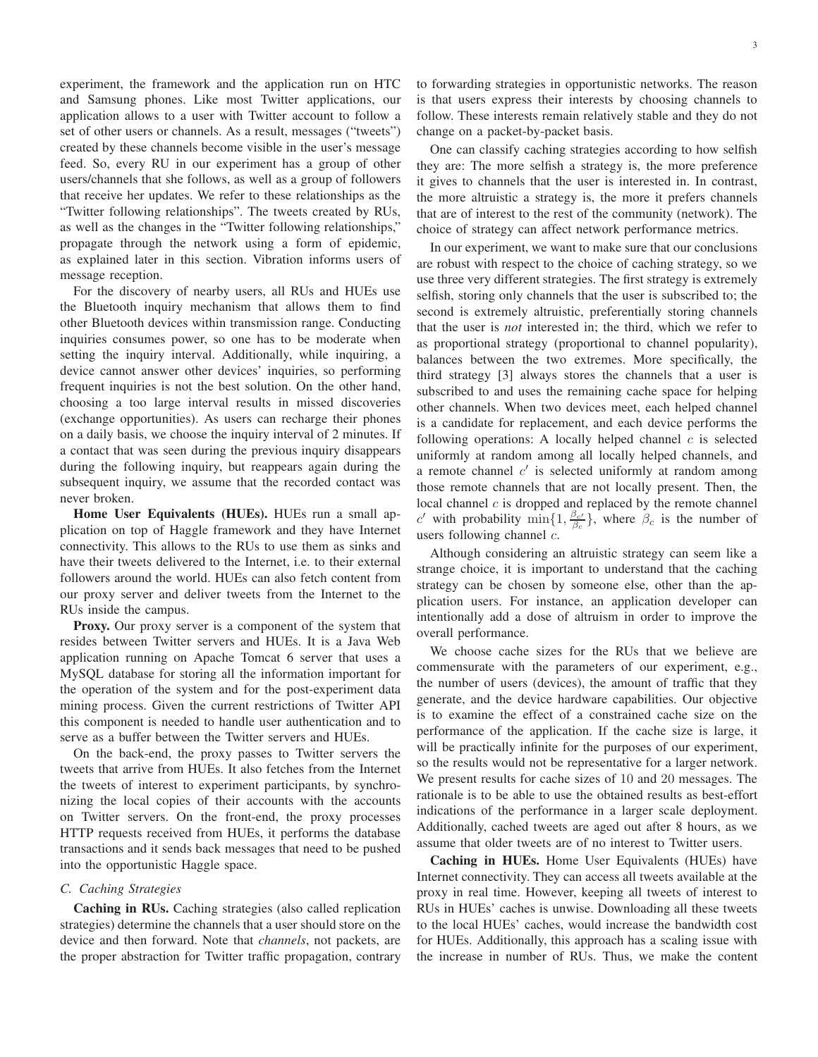experiment, the framework and the application run on HTC and Samsung phones. Like most Twitter applications, our application allows to a user with Twitter account to follow a set of other users or channels. As a result, messages ("tweets") created by these channels become visible in the user's message feed. So, every RU in our experiment has a group of other users/channels that she follows, as well as a group of followers that receive her updates. We refer to these relationships as the "Twitter following relationships". The tweets created by RUs, as well as the changes in the "Twitter following relationships," propagate through the network using a form of epidemic, as explained later in this section. Vibration informs users of message reception.

For the discovery of nearby users, all RUs and HUEs use the Bluetooth inquiry mechanism that allows them to find other Bluetooth devices within transmission range. Conducting inquiries consumes power, so one has to be moderate when setting the inquiry interval. Additionally, while inquiring, a device cannot answer other devices' inquiries, so performing frequent inquiries is not the best solution. On the other hand, choosing a too large interval results in missed discoveries (exchange opportunities). As users can recharge their phones on a daily basis, we choose the inquiry interval of 2 minutes. If a contact that was seen during the previous inquiry disappears during the following inquiry, but reappears again during the subsequent inquiry, we assume that the recorded contact was never broken.

**Home User Equivalents (HUEs).** HUEs run a small application on top of Haggle framework and they have Internet connectivity. This allows to the RUs to use them as sinks and have their tweets delivered to the Internet, i.e. to their external followers around the world. HUEs can also fetch content from our proxy server and deliver tweets from the Internet to the RUs inside the campus.

**Proxy.** Our proxy server is a component of the system that resides between Twitter servers and HUEs. It is a Java Web application running on Apache Tomcat 6 server that uses a MySQL database for storing all the information important for the operation of the system and for the post-experiment data mining process. Given the current restrictions of Twitter API this component is needed to handle user authentication and to serve as a buffer between the Twitter servers and HUEs.

On the back-end, the proxy passes to Twitter servers the tweets that arrive from HUEs. It also fetches from the Internet the tweets of interest to experiment participants, by synchronizing the local copies of their accounts with the accounts on Twitter servers. On the front-end, the proxy processes HTTP requests received from HUEs, it performs the database transactions and it sends back messages that need to be pushed into the opportunistic Haggle space.

## *C. Caching Strategies*

**Caching in RUs.** Caching strategies (also called replication strategies) determine the channels that a user should store on the device and then forward. Note that *channels*, not packets, are the proper abstraction for Twitter traffic propagation, contrary to forwarding strategies in opportunistic networks. The reason is that users express their interests by choosing channels to follow. These interests remain relatively stable and they do not change on a packet-by-packet basis.

One can classify caching strategies according to how selfish they are: The more selfish a strategy is, the more preference it gives to channels that the user is interested in. In contrast, the more altruistic a strategy is, the more it prefers channels that are of interest to the rest of the community (network). The choice of strategy can affect network performance metrics.

In our experiment, we want to make sure that our conclusions are robust with respect to the choice of caching strategy, so we use three very different strategies. The first strategy is extremely selfish, storing only channels that the user is subscribed to; the second is extremely altruistic, preferentially storing channels that the user is *not* interested in; the third, which we refer to as proportional strategy (proportional to channel popularity), balances between the two extremes. More specifically, the third strategy [3] always stores the channels that a user is subscribed to and uses the remaining cache space for helping other channels. When two devices meet, each helped channel is a candidate for replacement, and each device performs the following operations: A locally helped channel  $c$  is selected uniformly at random among all locally helped channels, and a remote channel  $c'$  is selected uniformly at random among those remote channels that are not locally present. Then, the local channel  $c$  is dropped and replaced by the remote channel c' with probability  $\min\{1, \frac{\beta_{c'}}{\beta_c}\}\$ , where  $\beta_c$  is the number of users following channel c.

Although considering an altruistic strategy can seem like a strange choice, it is important to understand that the caching strategy can be chosen by someone else, other than the application users. For instance, an application developer can intentionally add a dose of altruism in order to improve the overall performance.

We choose cache sizes for the RUs that we believe are commensurate with the parameters of our experiment, e.g., the number of users (devices), the amount of traffic that they generate, and the device hardware capabilities. Our objective is to examine the effect of a constrained cache size on the performance of the application. If the cache size is large, it will be practically infinite for the purposes of our experiment, so the results would not be representative for a larger network. We present results for cache sizes of 10 and 20 messages. The rationale is to be able to use the obtained results as best-effort indications of the performance in a larger scale deployment. Additionally, cached tweets are aged out after 8 hours, as we assume that older tweets are of no interest to Twitter users.

**Caching in HUEs.** Home User Equivalents (HUEs) have Internet connectivity. They can access all tweets available at the proxy in real time. However, keeping all tweets of interest to RUs in HUEs' caches is unwise. Downloading all these tweets to the local HUEs' caches, would increase the bandwidth cost for HUEs. Additionally, this approach has a scaling issue with the increase in number of RUs. Thus, we make the content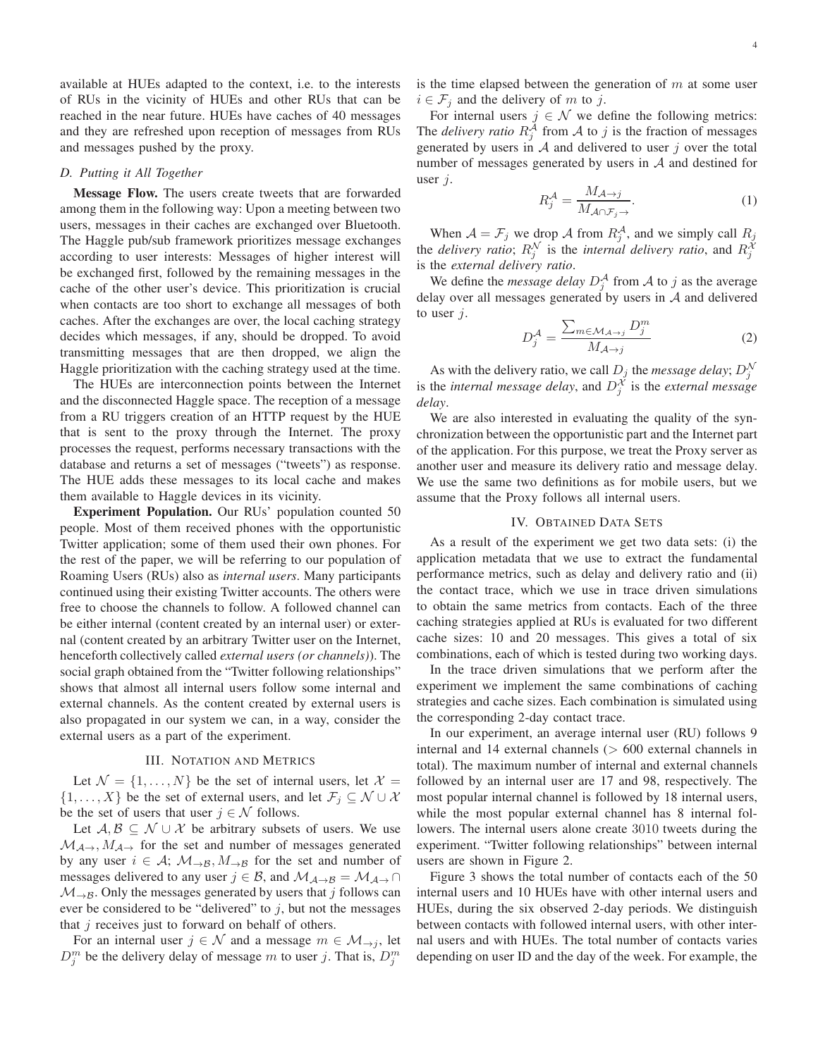available at HUEs adapted to the context, i.e. to the interests of RUs in the vicinity of HUEs and other RUs that can be reached in the near future. HUEs have caches of 40 messages and they are refreshed upon reception of messages from RUs and messages pushed by the proxy.

#### *D. Putting it All Together*

**Message Flow.** The users create tweets that are forwarded among them in the following way: Upon a meeting between two users, messages in their caches are exchanged over Bluetooth. The Haggle pub/sub framework prioritizes message exchanges according to user interests: Messages of higher interest will be exchanged first, followed by the remaining messages in the cache of the other user's device. This prioritization is crucial when contacts are too short to exchange all messages of both caches. After the exchanges are over, the local caching strategy decides which messages, if any, should be dropped. To avoid transmitting messages that are then dropped, we align the Haggle prioritization with the caching strategy used at the time.

The HUEs are interconnection points between the Internet and the disconnected Haggle space. The reception of a message from a RU triggers creation of an HTTP request by the HUE that is sent to the proxy through the Internet. The proxy processes the request, performs necessary transactions with the database and returns a set of messages ("tweets") as response. The HUE adds these messages to its local cache and makes them available to Haggle devices in its vicinity.

**Experiment Population.** Our RUs' population counted 50 people. Most of them received phones with the opportunistic Twitter application; some of them used their own phones. For the rest of the paper, we will be referring to our population of Roaming Users (RUs) also as *internal users*. Many participants continued using their existing Twitter accounts. The others were free to choose the channels to follow. A followed channel can be either internal (content created by an internal user) or external (content created by an arbitrary Twitter user on the Internet, henceforth collectively called *external users (or channels)*). The social graph obtained from the "Twitter following relationships" shows that almost all internal users follow some internal and external channels. As the content created by external users is also propagated in our system we can, in a way, consider the external users as a part of the experiment.

#### III. NOTATION AND METRICS

Let  $\mathcal{N} = \{1, \ldots, N\}$  be the set of internal users, let  $\mathcal{X} =$  $\{1, \ldots, X\}$  be the set of external users, and let  $\mathcal{F}_i \subseteq \mathcal{N} \cup \mathcal{X}$ be the set of users that user  $j \in \mathcal{N}$  follows.

Let  $A, B \subseteq \mathcal{N} \cup \mathcal{X}$  be arbitrary subsets of users. We use  $\mathcal{M}_{\mathcal{A}\rightarrow}$ ,  $M_{\mathcal{A}\rightarrow}$  for the set and number of messages generated by any user  $i \in A$ ;  $\mathcal{M}_{\rightarrow B}$ ,  $M_{\rightarrow B}$  for the set and number of messages delivered to any user  $j \in \mathcal{B}$ , and  $\mathcal{M}_{\mathcal{A}\rightarrow\mathcal{B}} = \mathcal{M}_{\mathcal{A}\rightarrow\mathcal{A}}$  $\mathcal{M}_{\rightarrow\mathcal{B}}$ . Only the messages generated by users that j follows can ever be considered to be "delivered" to  $j$ , but not the messages that  $j$  receives just to forward on behalf of others.

For an internal user  $j \in \mathcal{N}$  and a message  $m \in \mathcal{M}_{\rightarrow i}$ , let  $D_j^m$  be the delivery delay of message m to user j. That is,  $D_j^m$ 

is the time elapsed between the generation of  $m$  at some user  $i \in \mathcal{F}_j$  and the delivery of m to j.

For internal users  $j \in \mathcal{N}$  we define the following metrics: The *delivery ratio*  $R_j^{\mathcal{A}}$  from  $\mathcal A$  to  $j$  is the fraction of messages generated by users in  $A$  and delivered to user j over the total number of messages generated by users in  $A$  and destined for user j.

$$
R_j^{\mathcal{A}} = \frac{M_{\mathcal{A} \to j}}{M_{\mathcal{A} \cap \mathcal{F}_j \to}}.\tag{1}
$$

When  $A = \mathcal{F}_j$  we drop A from  $R_j^A$ , and we simply call  $R_j$ the *delivery ratio*;  $R_j^{\mathcal{N}}$  is the *internal delivery ratio*, and  $R_j^{\mathcal{X}}$ is the *external delivery ratio*.

We define the *message delay*  $D_j^{\mathcal{A}}$  from  $\mathcal A$  to  $j$  as the average delay over all messages generated by users in A and delivered to user  $i$ .

$$
D_j^{\mathcal{A}} = \frac{\sum_{m \in \mathcal{M}_{\mathcal{A} \to j}} D_j^m}{M_{\mathcal{A} \to j}} \tag{2}
$$

As with the delivery ratio, we call  $D_j$  the *message delay*;  $D_j^{\mathcal{N}}$ is the *internal message delay*, and  $D_j^{\mathcal{X}}$  is the *external message delay*.

We are also interested in evaluating the quality of the synchronization between the opportunistic part and the Internet part of the application. For this purpose, we treat the Proxy server as another user and measure its delivery ratio and message delay. We use the same two definitions as for mobile users, but we assume that the Proxy follows all internal users.

## IV. OBTAINED DATA SETS

As a result of the experiment we get two data sets: (i) the application metadata that we use to extract the fundamental performance metrics, such as delay and delivery ratio and (ii) the contact trace, which we use in trace driven simulations to obtain the same metrics from contacts. Each of the three caching strategies applied at RUs is evaluated for two different cache sizes: 10 and 20 messages. This gives a total of six combinations, each of which is tested during two working days.

In the trace driven simulations that we perform after the experiment we implement the same combinations of caching strategies and cache sizes. Each combination is simulated using the corresponding 2-day contact trace.

In our experiment, an average internal user (RU) follows 9 internal and 14 external channels (> 600 external channels in total). The maximum number of internal and external channels followed by an internal user are 17 and 98, respectively. The most popular internal channel is followed by 18 internal users, while the most popular external channel has 8 internal followers. The internal users alone create 3010 tweets during the experiment. "Twitter following relationships" between internal users are shown in Figure 2.

Figure 3 shows the total number of contacts each of the 50 internal users and 10 HUEs have with other internal users and HUEs, during the six observed 2-day periods. We distinguish between contacts with followed internal users, with other internal users and with HUEs. The total number of contacts varies depending on user ID and the day of the week. For example, the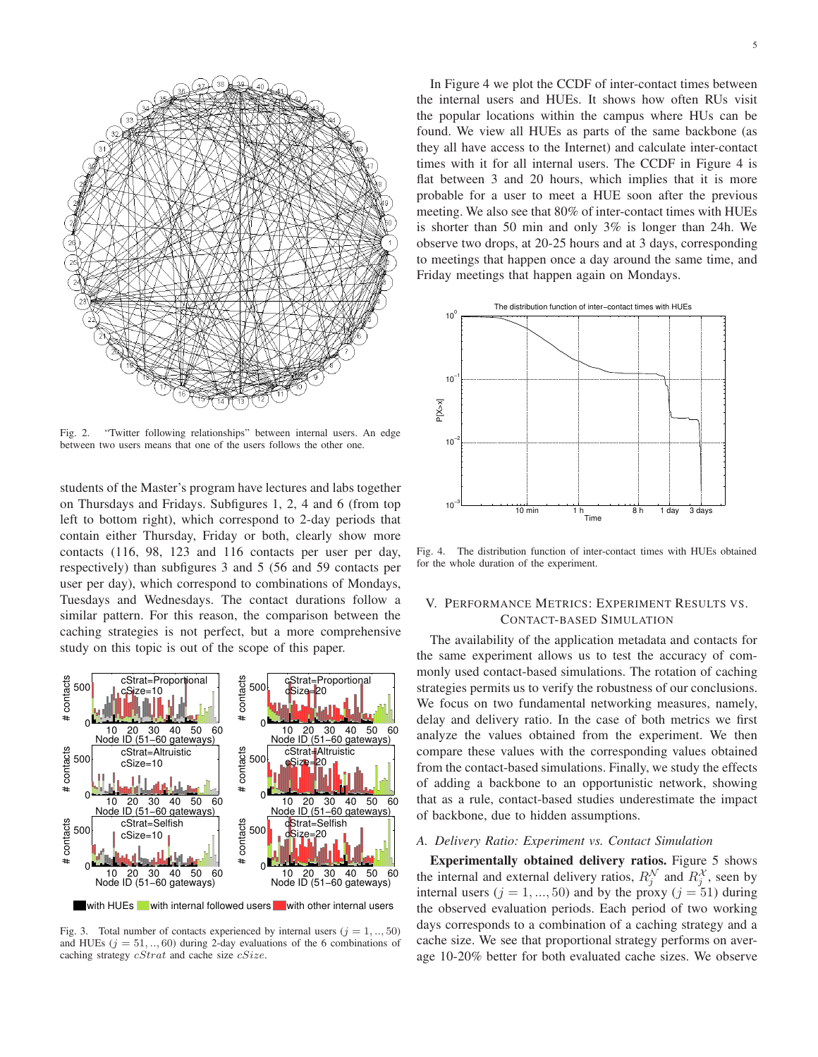

Fig. 2. "Twitter following relationships" between internal users. An edge between two users means that one of the users follows the other one.

students of the Master's program have lectures and labs together on Thursdays and Fridays. Subfigures 1, 2, 4 and 6 (from top left to bottom right), which correspond to 2-day periods that contain either Thursday, Friday or both, clearly show more contacts (116, 98, 123 and 116 contacts per user per day, respectively) than subfigures 3 and 5 (56 and 59 contacts per user per day), which correspond to combinations of Mondays, Tuesdays and Wednesdays. The contact durations follow a similar pattern. For this reason, the comparison between the caching strategies is not perfect, but a more comprehensive study on this topic is out of the scope of this paper.



Fig. 3. Total number of contacts experienced by internal users  $(j = 1, ..., 50)$ and HUEs  $(j = 51, ..., 60)$  during 2-day evaluations of the 6 combinations of caching strategy  $cStrat$  and cache size  $cSize$ .

In Figure 4 we plot the CCDF of inter-contact times between the internal users and HUEs. It shows how often RUs visit the popular locations within the campus where HUs can be found. We view all HUEs as parts of the same backbone (as they all have access to the Internet) and calculate inter-contact times with it for all internal users. The CCDF in Figure 4 is flat between 3 and 20 hours, which implies that it is more probable for a user to meet a HUE soon after the previous meeting. We also see that 80% of inter-contact times with HUEs is shorter than 50 min and only 3% is longer than 24h. We observe two drops, at 20-25 hours and at 3 days, corresponding to meetings that happen once a day around the same time, and Friday meetings that happen again on Mondays.



Fig. 4. The distribution function of inter-contact times with HUEs obtained for the whole duration of the experiment.

# V. PERFORMANCE METRICS: EXPERIMENT RESULTS VS. CONTACT-BASED SIMULATION

The availability of the application metadata and contacts for the same experiment allows us to test the accuracy of commonly used contact-based simulations. The rotation of caching strategies permits us to verify the robustness of our conclusions. We focus on two fundamental networking measures, namely, delay and delivery ratio. In the case of both metrics we first analyze the values obtained from the experiment. We then compare these values with the corresponding values obtained from the contact-based simulations. Finally, we study the effects of adding a backbone to an opportunistic network, showing that as a rule, contact-based studies underestimate the impact of backbone, due to hidden assumptions.

#### *A. Delivery Ratio: Experiment vs. Contact Simulation*

**Experimentally obtained delivery ratios.** Figure 5 shows the internal and external delivery ratios,  $R_j^{\mathcal{N}}$  and  $R_j^{\mathcal{X}}$ , seen by internal users  $(j = 1, ..., 50)$  and by the proxy  $(j = 51)$  during the observed evaluation periods. Each period of two working days corresponds to a combination of a caching strategy and a cache size. We see that proportional strategy performs on average 10-20% better for both evaluated cache sizes. We observe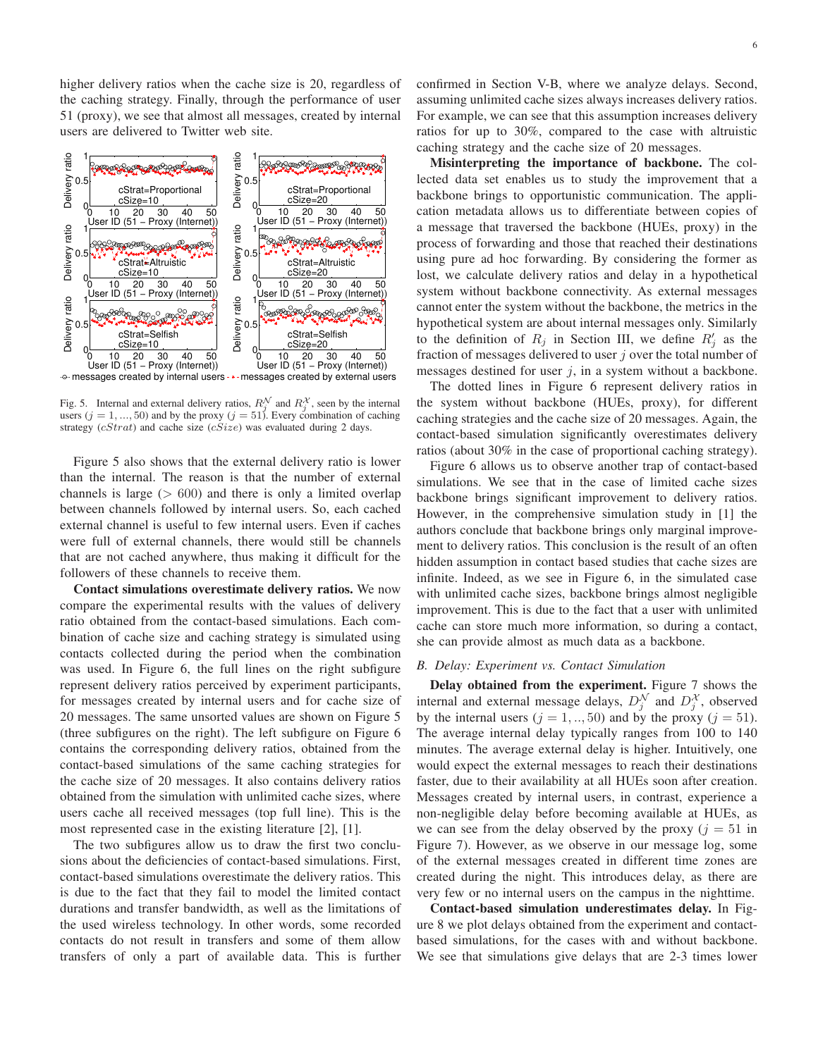higher delivery ratios when the cache size is 20, regardless of the caching strategy. Finally, through the performance of user 51 (proxy), we see that almost all messages, created by internal users are delivered to Twitter web site.



Fig. 5. Internal and external delivery ratios,  $R_j^{\mathcal{N}}$  and  $R_j^{\mathcal{X}}$ , seen by the internal users  $(j = 1, ..., 50)$  and by the proxy  $(j = 51)$ . Every combination of caching strategy  $(cStrat)$  and cache size  $(cSize)$  was evaluated during 2 days.

Figure 5 also shows that the external delivery ratio is lower than the internal. The reason is that the number of external channels is large  $(> 600)$  and there is only a limited overlap between channels followed by internal users. So, each cached external channel is useful to few internal users. Even if caches were full of external channels, there would still be channels that are not cached anywhere, thus making it difficult for the followers of these channels to receive them.

**Contact simulations overestimate delivery ratios.** We now compare the experimental results with the values of delivery ratio obtained from the contact-based simulations. Each combination of cache size and caching strategy is simulated using contacts collected during the period when the combination was used. In Figure 6, the full lines on the right subfigure represent delivery ratios perceived by experiment participants, for messages created by internal users and for cache size of 20 messages. The same unsorted values are shown on Figure 5 (three subfigures on the right). The left subfigure on Figure 6 contains the corresponding delivery ratios, obtained from the contact-based simulations of the same caching strategies for the cache size of 20 messages. It also contains delivery ratios obtained from the simulation with unlimited cache sizes, where users cache all received messages (top full line). This is the most represented case in the existing literature [2], [1].

The two subfigures allow us to draw the first two conclusions about the deficiencies of contact-based simulations. First, contact-based simulations overestimate the delivery ratios. This is due to the fact that they fail to model the limited contact durations and transfer bandwidth, as well as the limitations of the used wireless technology. In other words, some recorded contacts do not result in transfers and some of them allow transfers of only a part of available data. This is further

confirmed in Section V-B, where we analyze delays. Second, assuming unlimited cache sizes always increases delivery ratios. For example, we can see that this assumption increases delivery ratios for up to 30%, compared to the case with altruistic caching strategy and the cache size of 20 messages.

**Misinterpreting the importance of backbone.** The collected data set enables us to study the improvement that a backbone brings to opportunistic communication. The application metadata allows us to differentiate between copies of a message that traversed the backbone (HUEs, proxy) in the process of forwarding and those that reached their destinations using pure ad hoc forwarding. By considering the former as lost, we calculate delivery ratios and delay in a hypothetical system without backbone connectivity. As external messages cannot enter the system without the backbone, the metrics in the hypothetical system are about internal messages only. Similarly to the definition of  $R_j$  in Section III, we define  $R'_j$  as the fraction of messages delivered to user  $j$  over the total number of messages destined for user  $j$ , in a system without a backbone.

The dotted lines in Figure 6 represent delivery ratios in the system without backbone (HUEs, proxy), for different caching strategies and the cache size of 20 messages. Again, the contact-based simulation significantly overestimates delivery ratios (about 30% in the case of proportional caching strategy).

Figure 6 allows us to observe another trap of contact-based simulations. We see that in the case of limited cache sizes backbone brings significant improvement to delivery ratios. However, in the comprehensive simulation study in [1] the authors conclude that backbone brings only marginal improvement to delivery ratios. This conclusion is the result of an often hidden assumption in contact based studies that cache sizes are infinite. Indeed, as we see in Figure 6, in the simulated case with unlimited cache sizes, backbone brings almost negligible improvement. This is due to the fact that a user with unlimited cache can store much more information, so during a contact, she can provide almost as much data as a backbone.

## *B. Delay: Experiment vs. Contact Simulation*

**Delay obtained from the experiment.** Figure 7 shows the internal and external message delays,  $D_j^{\mathcal{N}}$  and  $D_j^{\mathcal{X}}$ , observed by the internal users  $(j = 1, ..., 50)$  and by the proxy  $(j = 51)$ . The average internal delay typically ranges from 100 to 140 minutes. The average external delay is higher. Intuitively, one would expect the external messages to reach their destinations faster, due to their availability at all HUEs soon after creation. Messages created by internal users, in contrast, experience a non-negligible delay before becoming available at HUEs, as we can see from the delay observed by the proxy  $(j = 51$  in Figure 7). However, as we observe in our message log, some of the external messages created in different time zones are created during the night. This introduces delay, as there are very few or no internal users on the campus in the nighttime.

**Contact-based simulation underestimates delay.** In Figure 8 we plot delays obtained from the experiment and contactbased simulations, for the cases with and without backbone. We see that simulations give delays that are 2-3 times lower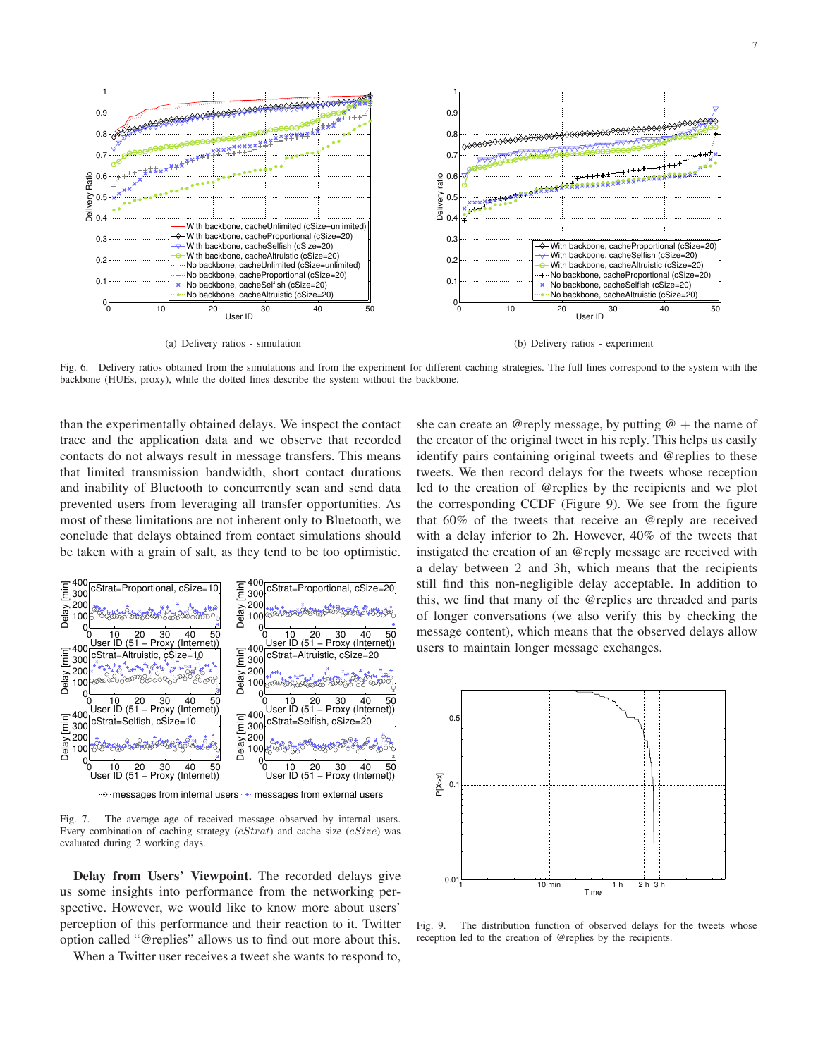

Fig. 6. Delivery ratios obtained from the simulations and from the experiment for different caching strategies. The full lines correspond to the system with the backbone (HUEs, proxy), while the dotted lines describe the system without the backbone.

than the experimentally obtained delays. We inspect the contact trace and the application data and we observe that recorded contacts do not always result in message transfers. This means that limited transmission bandwidth, short contact durations and inability of Bluetooth to concurrently scan and send data prevented users from leveraging all transfer opportunities. As most of these limitations are not inherent only to Bluetooth, we conclude that delays obtained from contact simulations should be taken with a grain of salt, as they tend to be too optimistic.



Fig. 7. The average age of received message observed by internal users. Every combination of caching strategy  $(cStrat)$  and cache size  $(cSize)$  was evaluated during 2 working days.

**Delay from Users' Viewpoint.** The recorded delays give us some insights into performance from the networking perspective. However, we would like to know more about users' perception of this performance and their reaction to it. Twitter option called "@replies" allows us to find out more about this.

When a Twitter user receives a tweet she wants to respond to,

she can create an @reply message, by putting  $@ +$  the name of the creator of the original tweet in his reply. This helps us easily identify pairs containing original tweets and @replies to these tweets. We then record delays for the tweets whose reception led to the creation of @replies by the recipients and we plot the corresponding CCDF (Figure 9). We see from the figure that 60% of the tweets that receive an @reply are received with a delay inferior to 2h. However, 40% of the tweets that instigated the creation of an @reply message are received with a delay between 2 and 3h, which means that the recipients still find this non-negligible delay acceptable. In addition to this, we find that many of the @replies are threaded and parts of longer conversations (we also verify this by checking the message content), which means that the observed delays allow users to maintain longer message exchanges.



Fig. 9. The distribution function of observed delays for the tweets whose reception led to the creation of @replies by the recipients.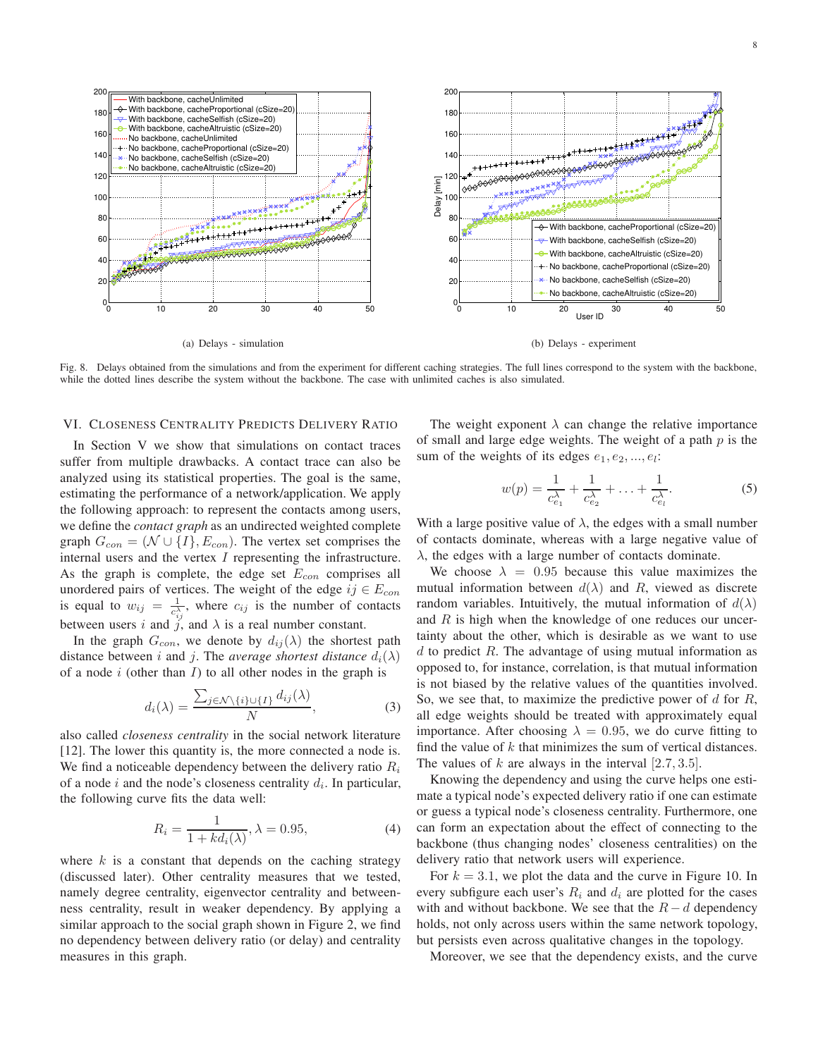

Fig. 8. Delays obtained from the simulations and from the experiment for different caching strategies. The full lines correspond to the system with the backbone, while the dotted lines describe the system without the backbone. The case with unlimited caches is also simulated.

## VI. CLOSENESS CENTRALITY PREDICTS DELIVERY RATIO

In Section V we show that simulations on contact traces suffer from multiple drawbacks. A contact trace can also be analyzed using its statistical properties. The goal is the same, estimating the performance of a network/application. We apply the following approach: to represent the contacts among users, we define the *contact graph* as an undirected weighted complete graph  $G_{con} = (\mathcal{N} \cup \{I\}, E_{con})$ . The vertex set comprises the internal users and the vertex  $I$  representing the infrastructure. As the graph is complete, the edge set  $E_{con}$  comprises all unordered pairs of vertices. The weight of the edge  $ij \in E_{con}$ is equal to  $w_{ij} = \frac{1}{c^{\lambda}}$  $\frac{1}{c_{ij}^{\lambda}}$ , where  $c_{ij}$  is the number of contacts between users i and j, and  $\lambda$  is a real number constant.

In the graph  $G_{con}$ , we denote by  $d_{ij}(\lambda)$  the shortest path distance between i and j. The *average shortest distance*  $d_i(\lambda)$ of a node  $i$  (other than  $I$ ) to all other nodes in the graph is

$$
d_i(\lambda) = \frac{\sum_{j \in \mathcal{N} \setminus \{i\} \cup \{I\}} d_{ij}(\lambda)}{N},\tag{3}
$$

also called *closeness centrality* in the social network literature [12]. The lower this quantity is, the more connected a node is. We find a noticeable dependency between the delivery ratio  $R_i$ of a node i and the node's closeness centrality  $d_i$ . In particular, the following curve fits the data well:

$$
R_i = \frac{1}{1 + kd_i(\lambda)}, \lambda = 0.95,\tag{4}
$$

where  $k$  is a constant that depends on the caching strategy (discussed later). Other centrality measures that we tested, namely degree centrality, eigenvector centrality and betweenness centrality, result in weaker dependency. By applying a similar approach to the social graph shown in Figure 2, we find no dependency between delivery ratio (or delay) and centrality measures in this graph.

The weight exponent  $\lambda$  can change the relative importance of small and large edge weights. The weight of a path  $p$  is the sum of the weights of its edges  $e_1, e_2, ..., e_l$ :

$$
w(p) = \frac{1}{c_{e_1}^{\lambda}} + \frac{1}{c_{e_2}^{\lambda}} + \ldots + \frac{1}{c_{e_l}^{\lambda}}.
$$
 (5)

With a large positive value of  $\lambda$ , the edges with a small number of contacts dominate, whereas with a large negative value of  $\lambda$ , the edges with a large number of contacts dominate.

We choose  $\lambda = 0.95$  because this value maximizes the mutual information between  $d(\lambda)$  and R, viewed as discrete random variables. Intuitively, the mutual information of  $d(\lambda)$ and  $R$  is high when the knowledge of one reduces our uncertainty about the other, which is desirable as we want to use  $d$  to predict  $R$ . The advantage of using mutual information as opposed to, for instance, correlation, is that mutual information is not biased by the relative values of the quantities involved. So, we see that, to maximize the predictive power of  $d$  for  $R$ , all edge weights should be treated with approximately equal importance. After choosing  $\lambda = 0.95$ , we do curve fitting to find the value of  $k$  that minimizes the sum of vertical distances. The values of k are always in the interval  $[2.7, 3.5]$ .

Knowing the dependency and using the curve helps one estimate a typical node's expected delivery ratio if one can estimate or guess a typical node's closeness centrality. Furthermore, one can form an expectation about the effect of connecting to the backbone (thus changing nodes' closeness centralities) on the delivery ratio that network users will experience.

For  $k = 3.1$ , we plot the data and the curve in Figure 10. In every subfigure each user's  $R_i$  and  $d_i$  are plotted for the cases with and without backbone. We see that the  $R - d$  dependency holds, not only across users within the same network topology, but persists even across qualitative changes in the topology.

Moreover, we see that the dependency exists, and the curve